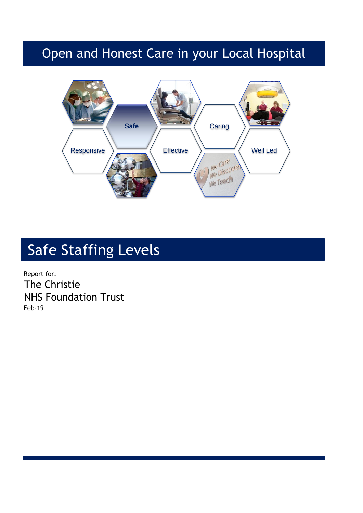## Open and Honest Care in your Local Hospital



# Safe Staffing Levels

Report for: The Christie NHS Foundation Trust Feb-19